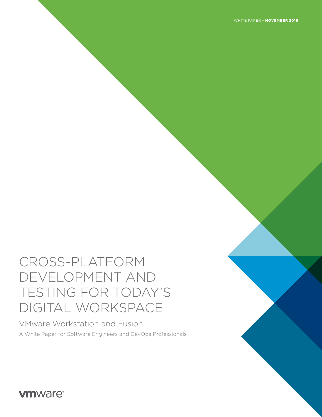# CROSS-PLATFORM DEVELOPMENT AND TESTING FOR TODAY'S DIGITAL WORKSPACE

VMware Workstation and Fusion A White Paper for Software Engineers and DevOps Professionals

**vm**ware<sup>®</sup>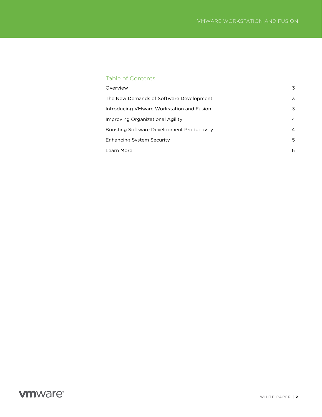### Table of Contents

| Overview                                   | 3 |
|--------------------------------------------|---|
| The New Demands of Software Development    | 3 |
| Introducing VMware Workstation and Fusion  | 3 |
| Improving Organizational Agility           | 4 |
| Boosting Software Development Productivity | 4 |
| Enhancing System Security                  | 5 |
| Learn More                                 | 6 |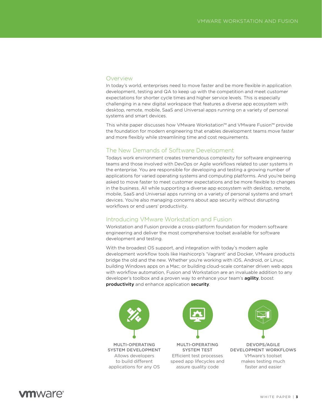#### <span id="page-2-0"></span>**Overview**

In today's world, enterprises need to move faster and be more flexible in application development, testing and QA to keep up with the competition and meet customer expectations for shorter cycle times and higher service levels. This is especially challenging in a new digital workspace that features a diverse app ecosystem with desktop, remote, mobile, SaaS and Universal apps running on a variety of personal systems and smart devices.

This white paper discusses how VMware Workstation™ and VMware Fusion™ provide the foundation for modern engineering that enables development teams move faster and more flexibly while streamlining time and cost requirements.

#### The New Demands of Software Development

Todays work environment creates tremendous complexity for software engineering teams and those involved with DevOps or Agile workflows related to user systems in the enterprise. You are responsible for developing and testing a growing number of applications for varied operating systems and computing platforms. And you're being asked to move faster to meet customer expectations and be more flexible to changes in the business. All while supporting a diverse app ecosystem with desktop, remote, mobile, SaaS and Universal apps running on a variety of personal systems and smart devices. You're also managing concerns about app security without disrupting workflows or end users' productivity.

#### Introducing VMware Workstation and Fusion

Workstation and Fusion provide a cross-platform foundation for modern software engineering and deliver the most comprehensive toolset available for software development and testing.

With the broadest OS support, and integration with today's modern agile development workflow tools like Hashicorp's 'Vagrant' and Docker, VMware products bridge the old and the new. Whether you're working with iOS, Android, or Linux; building Windows apps on a Mac; or building cloud-scale container driven web apps with workflow automation, Fusion and Workstation are an invaluable addition to any developer's toolbox and a proven way to enhance your team's **agility**, boost productivity and enhance application security.





MULTI-OPERATING SYSTEM DEVELOPMENT Allows developers to build different applications for any OS

MULTI-OPERATING SYSTEM TEST Efficient test processes speed app lifecycles and assure quality code



DEVOPS/AGILE DEVELOPMENT WORKFLOWS VMware's toolset makes testing much faster and easier

### **m**ware<sup>®</sup>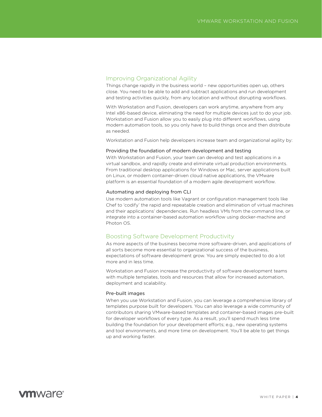#### <span id="page-3-0"></span>Improving Organizational Agility

Things change rapidly in the business world – new opportunities open up, others close. You need to be able to add and subtract applications and run development and testing activities quickly, from any location and without disrupting workflows.

With Workstation and Fusion, developers can work anytime, anywhere from any Intel x86-based device, eliminating the need for multiple devices just to do your job. Workstation and Fusion allow you to easily plug into different workflows, using modern automation tools, so you only have to build things once and then distribute as needed.

Workstation and Fusion help developers increase team and organizational agility by:

#### Providing the foundation of modern development and testing

With Workstation and Fusion, your team can develop and test applications in a virtual sandbox, and rapidly create and eliminate virtual production environments. From traditional desktop applications for Windows or Mac, server applications built on Linux, or modern container-driven cloud native applications, the VMware platform is an essential foundation of a modern agile development workflow.

#### Automating and deploying from CLI

Use modern automation tools like Vagrant or configuration management tools like Chef to 'codify' the rapid and repeatable creation and elimination of virtual machines and their applications' dependencies. Run headless VMs from the command line, or integrate into a container-based automation workflow using docker-machine and Photon OS.

#### Boosting Software Development Productivity

As more aspects of the business become more software-driven, and applications of all sorts become more essential to organizational success of the business, expectations of software development grow. You are simply expected to do a lot more and in less time.

Workstation and Fusion increase the productivity of software development teams with multiple templates, tools and resources that allow for increased automation, deployment and scalability.

#### Pre-built images

When you use Workstation and Fusion, you can leverage a comprehensive library of templates purpose built for developers. You can also leverage a wide community of contributors sharing VMware-based templates and container-based images pre-built for developer workflows of every type. As a result, you'll spend much less time building the foundation for your development efforts; e.g., new operating systems and tool environments, and more time on development. You'll be able to get things up and working faster.

### **vm**ware<sup>®</sup>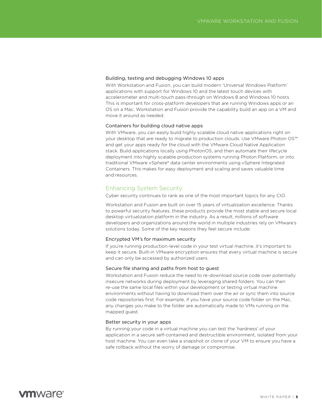#### <span id="page-4-0"></span>Building, testing and debugging Windows 10 apps

With Workstation and Fusion, you can build modern 'Universal Windows Platform' applications with support for Windows 10 and the latest touch devices with accelerometer and multi-touch pass-through on Windows 8 and Windows 10 hosts. This is important for cross-platform developers that are running Windows apps or an OS on a Mac. Workstation and Fusion provide the capability build an app on a VM and move it around as needed.

#### Containers for building cloud native apps

With VMware, you can easily build highly scalable cloud native applications right on your desktop that are ready to migrate to production clouds. Use VMware Photon OS™ and get your apps ready for the cloud with the VMware Cloud Native Application stack. Build applications locally using PhotonOS, and then automate their lifecycle deployment into highly scalable production systems running Photon Platform, or into traditional VMware vSphere® data center environments using vSphere Integrated Containers. This makes for easy deployment and scaling and saves valuable time and resources.

#### Enhancing System Security

Cyber security continues to rank as one of the most important topics for any CIO.

Workstation and Fusion are built on over 15 years of virtualization excellence. Thanks to powerful security features, these products provide the most stable and secure local desktop virtualization platform in the industry. As a result, millions of software developers and organizations around the world in multiple industries rely on VMware's solutions today. Some of the key reasons they feel secure include:

#### Encrypted VM's for maximum security

If you're running production-level code in your test virtual machine, it's important to keep it secure. Built-in VMware encryption ensures that every virtual machine is secure and can only be accessed by authorized users.

#### Secure file sharing and paths from host to guest

Workstation and Fusion reduce the need to re-download source code over potentially insecure networks during deployment by leveraging shared folders. You can then re-use the same local files within your development or testing virtual machine environments without having to download them over the air or sync them into source code repositories first. For example, if you have your source code folder on the Mac, any changes you make to the folder are automatically made to VMs running on the mapped guest.

#### Better security in your apps

By running your code in a virtual machine you can test the 'hardness' of your application in a secure self-contained and destructible environment, isolated from your host machine. You can even take a snapshot or clone of your VM to ensure you have a safe rollback without the worry of damage or compromise.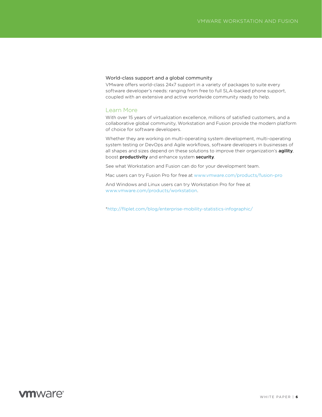#### <span id="page-5-0"></span>World-class support and a global community

VMware offers world-class 24x7 support in a variety of packages to suite every software developer's needs: ranging from free to full SLA-backed phone support, coupled with an extensive and active worldwide community ready to help.

#### Learn More

With over 15 years of virtualization excellence, millions of satisfied customers, and a collaborative global community, Workstation and Fusion provide the modern platform of choice for software developers.

Whether they are working on multi-operating system development, multi-operating system testing or DevOps and Agile workflows, software developers in businesses of all shapes and sizes depend on these solutions to improve their organization's agility, boost productivity and enhance system security.

See what Workstation and Fusion can do for your development team.

Mac users can try Fusion Pro for free at<www.vmware.com/products/fusion-pro>

And Windows and Linux users can try Workstation Pro for free at <www.vmware.com/products/workstation>.

[\\*http://fliplet.com/blog/enterprise-mobility-statistics-infographic/](*http://fliplet.com/blog/enterprise-mobility-statistics-infographic/) 

### **vm**ware<sup>®</sup>